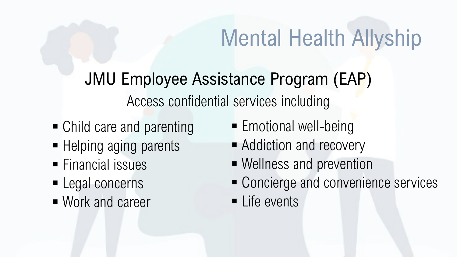JMU Employee Assistance Program (EAP) Access confidential services including

- Child care and parenting
- Helping aging parents
- **Financial issues**
- **Legal concerns**
- Work and career
- **Emotional well-being**
- **Addiction and recovery**
- Wellness and prevention
- Concierge and convenience services
- **Life events**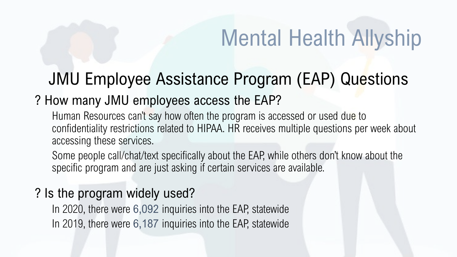### JMU Employee Assistance Program (EAP) Questions

### ? How many JMU employees access the EAP?

Human Resources can't say how often the program is accessed or used due to confidentiality restrictions related to HIPAA. HR receives multiple questions per week about accessing these services.

Some people call/chat/text specifically about the EAP, while others don't know about the specific program and are just asking if certain services are available.

### ? Is the program widely used?

In 2020, there were 6,092 inquiries into the EAP, statewide In 2019, there were 6,187 inquiries into the EAP, statewide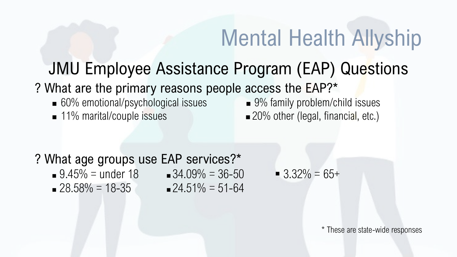### JMU Employee Assistance Program (EAP) Questions

### ? What are the primary reasons people access the EAP?\*

- 60% emotional/psychological issues 9% family problem/child issues
- 

■ 11% marital/couple issues ■ 20% other (legal, financial, etc.)

#### ? What age groups use EAP services?\*

- $9.45\% =$  under 18  $34.09\% = 36-50$   $3.32\% = 65+$
- $28.58\% = 18-35$   $24.51\% = 51-64$
- 

\* These are state-wide responses